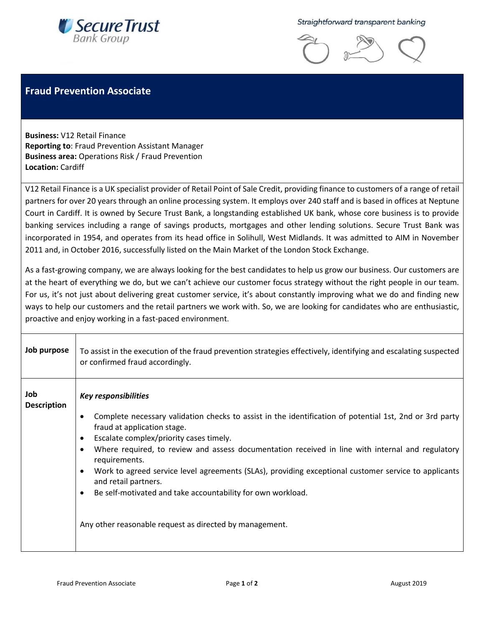

Straightforward transparent banking



## **Fraud Prevention Associate**

**Business:** V12 Retail Finance **Reporting to**: Fraud Prevention Assistant Manager **Business area:** Operations Risk / Fraud Prevention **Location:** Cardiff

V12 Retail Finance is a UK specialist provider of Retail Point of Sale Credit, providing finance to customers of a range of retail partners for over 20 years through an online processing system. It employs over 240 staff and is based in offices at Neptune Court in Cardiff. It is owned by Secure Trust Bank, a longstanding established UK bank, whose core business is to provide banking services including a range of savings products, mortgages and other lending solutions. Secure Trust Bank was incorporated in 1954, and operates from its head office in Solihull, West Midlands. It was admitted to AIM in November 2011 and, in October 2016, successfully listed on the Main Market of the London Stock Exchange.

As a fast-growing company, we are always looking for the best candidates to help us grow our business. Our customers are at the heart of everything we do, but we can't achieve our customer focus strategy without the right people in our team. For us, it's not just about delivering great customer service, it's about constantly improving what we do and finding new ways to help our customers and the retail partners we work with. So, we are looking for candidates who are enthusiastic, proactive and enjoy working in a fast-paced environment.

| Job purpose               | To assist in the execution of the fraud prevention strategies effectively, identifying and escalating suspected<br>or confirmed fraud accordingly. |
|---------------------------|----------------------------------------------------------------------------------------------------------------------------------------------------|
| Job<br><b>Description</b> | <b>Key responsibilities</b>                                                                                                                        |
|                           | Complete necessary validation checks to assist in the identification of potential 1st, 2nd or 3rd party<br>fraud at application stage.             |
|                           | Escalate complex/priority cases timely.                                                                                                            |
|                           | Where required, to review and assess documentation received in line with internal and regulatory<br>$\bullet$<br>requirements.                     |
|                           | Work to agreed service level agreements (SLAs), providing exceptional customer service to applicants<br>and retail partners.                       |
|                           | Be self-motivated and take accountability for own workload.                                                                                        |
|                           | Any other reasonable request as directed by management.                                                                                            |